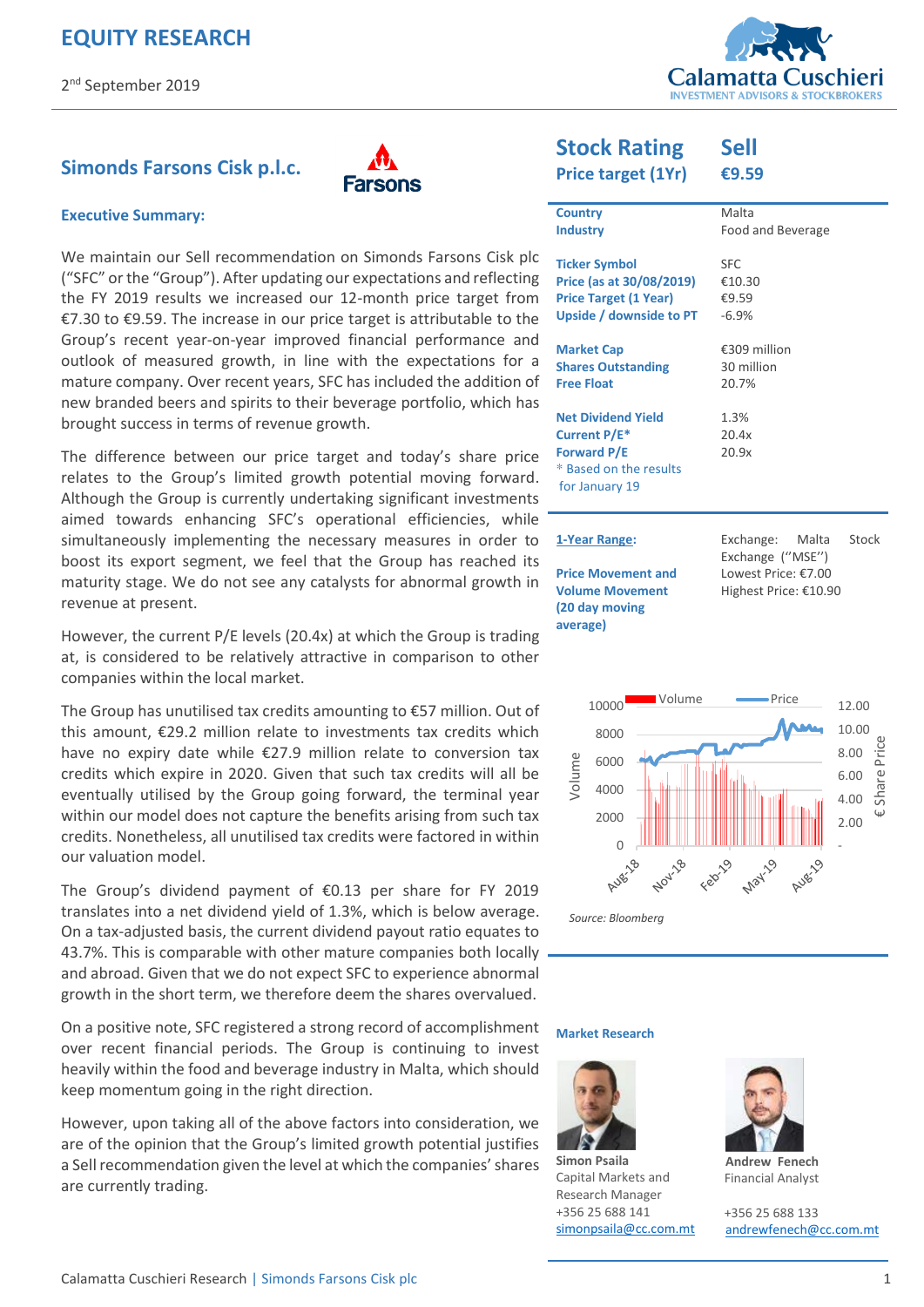

## **Simonds Farsons Cisk p.l.c.**



#### **Executive Summary:**

We maintain our Sell recommendation on Simonds Farsons Cisk plc ("SFC" or the "Group"). After updating our expectations and reflecting the FY 2019 results we increased our 12-month price target from €7.30 to €9.59. The increase in our price target is attributable to the Group's recent year-on-year improved financial performance and outlook of measured growth, in line with the expectations for a mature company. Over recent years, SFC has included the addition of new branded beers and spirits to their beverage portfolio, which has brought success in terms of revenue growth.

The difference between our price target and today's share price relates to the Group's limited growth potential moving forward. Although the Group is currently undertaking significant investments aimed towards enhancing SFC's operational efficiencies, while simultaneously implementing the necessary measures in order to boost its export segment, we feel that the Group has reached its maturity stage. We do not see any catalysts for abnormal growth in revenue at present.

However, the current P/E levels (20.4x) at which the Group is trading at, is considered to be relatively attractive in comparison to other companies within the local market.

The Group has unutilised tax credits amounting to €57 million. Out of this amount, €29.2 million relate to investments tax credits which have no expiry date while €27.9 million relate to conversion tax credits which expire in 2020. Given that such tax credits will all be eventually utilised by the Group going forward, the terminal year within our model does not capture the benefits arising from such tax credits. Nonetheless, all unutilised tax credits were factored in within our valuation model.

The Group's dividend payment of €0.13 per share for FY 2019 translates into a net dividend yield of 1.3%, which is below average. On a tax-adjusted basis, the current dividend payout ratio equates to 43.7%. This is comparable with other mature companies both locally and abroad. Given that we do not expect SFC to experience abnormal growth in the short term, we therefore deem the shares overvalued.

On a positive note, SFC registered a strong record of accomplishment over recent financial periods. The Group is continuing to invest heavily within the food and beverage industry in Malta, which should keep momentum going in the right direction.

However, upon taking all of the above factors into consideration, we are of the opinion that the Group's limited growth potential justifies a Sell recommendation given the level at which the companies' shares are currently trading.

#### **Stock Rating Sell**

**Price target (1Yr)** 

| Price target (1Yr)           | €9.59                                           |
|------------------------------|-------------------------------------------------|
| <b>Country</b>               | Malta                                           |
| <b>Industry</b>              | Food and Beverage                               |
| <b>Ticker Symbol</b>         | <b>SFC</b>                                      |
| Price (as at 30/08/2019)     | €10.30                                          |
| <b>Price Target (1 Year)</b> | €9.59                                           |
| Upside / downside to PT      | $-6.9%$                                         |
| <b>Market Cap</b>            | €309 million                                    |
| <b>Shares Outstanding</b>    | 30 million                                      |
| <b>Free Float</b>            | 20.7%                                           |
| <b>Net Dividend Yield</b>    | 1.3%                                            |
| Current P/E*                 | 20.4x                                           |
| <b>Forward P/E</b>           | 20.9x                                           |
| * Based on the results       |                                                 |
| for January 19               |                                                 |
|                              |                                                 |
| 1-Year Range:                | Exchange:<br>Stock<br>Malta<br>Exchange ("MSE") |
| <b>Price Movement and</b>    | Lowest Price: €7.00                             |



Highest Price: €10.90

**Market Research** 

**Volume Movement (20 day moving average)** 



**Simon Psaila**  Capital Markets and Research Manager +356 25 688 141 [simonpsaila@cc.com.mt](mailto:simonpsaila@cc.com.mt)



**Andrew Fenech**  Financial Analyst

+356 25 688 133 [andrewfenech@cc.com.mt](mailto:rowenbonello@cc.com.mt)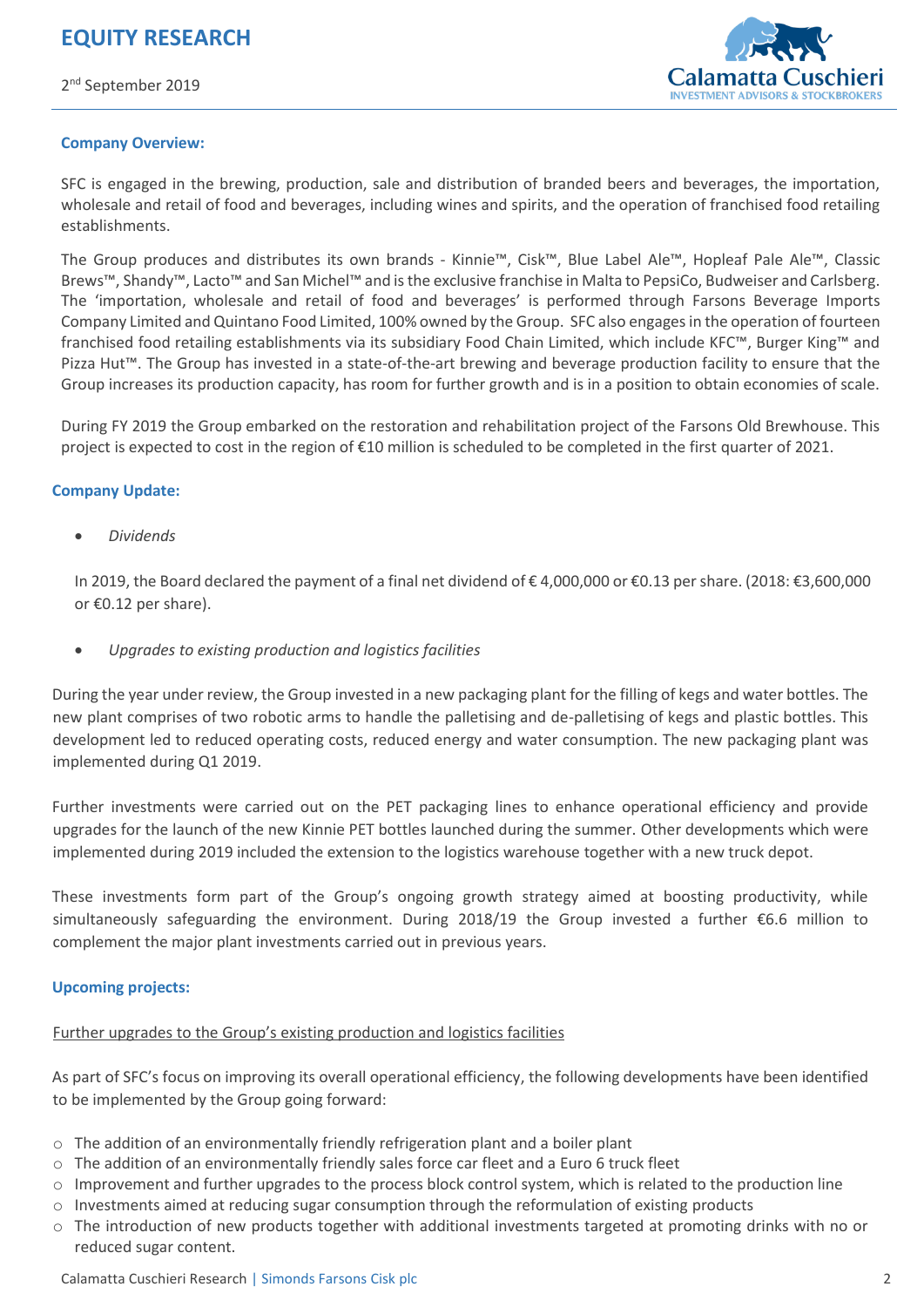

#### **Company Overview:**

SFC is engaged in the brewing, production, sale and distribution of branded beers and beverages, the importation, wholesale and retail of food and beverages, including wines and spirits, and the operation of franchised food retailing establishments.

The Group produces and distributes its own brands - Kinnie™, Cisk™, Blue Label Ale™, Hopleaf Pale Ale™, Classic Brews™, Shandy™, Lacto™ and San Michel™ and is the exclusive franchise in Malta to PepsiCo, Budweiser and Carlsberg. The 'importation, wholesale and retail of food and beverages' is performed through Farsons Beverage Imports Company Limited and Quintano Food Limited, 100% owned by the Group. SFC also engages in the operation of fourteen franchised food retailing establishments via its subsidiary Food Chain Limited, which include KFC™, Burger King™ and Pizza Hut™. The Group has invested in a state-of-the-art brewing and beverage production facility to ensure that the Group increases its production capacity, has room for further growth and is in a position to obtain economies of scale.

During FY 2019 the Group embarked on the restoration and rehabilitation project of the Farsons Old Brewhouse. This project is expected to cost in the region of €10 million is scheduled to be completed in the first quarter of 2021.

#### **Company Update:**

*Dividends* 

In 2019, the Board declared the payment of a final net dividend of € 4,000,000 or €0.13 per share. (2018: €3,600,000 or €0.12 per share).

*Upgrades to existing production and logistics facilities* 

During the year under review, the Group invested in a new packaging plant for the filling of kegs and water bottles. The new plant comprises of two robotic arms to handle the palletising and de-palletising of kegs and plastic bottles. This development led to reduced operating costs, reduced energy and water consumption. The new packaging plant was implemented during Q1 2019.

Further investments were carried out on the PET packaging lines to enhance operational efficiency and provide upgrades for the launch of the new Kinnie PET bottles launched during the summer. Other developments which were implemented during 2019 included the extension to the logistics warehouse together with a new truck depot.

These investments form part of the Group's ongoing growth strategy aimed at boosting productivity, while simultaneously safeguarding the environment. During 2018/19 the Group invested a further €6.6 million to complement the major plant investments carried out in previous years.

#### **Upcoming projects:**

## Further upgrades to the Group's existing production and logistics facilities

As part of SFC's focus on improving its overall operational efficiency, the following developments have been identified to be implemented by the Group going forward:

- $\circ$  The addition of an environmentally friendly refrigeration plant and a boiler plant
- $\circ$  The addition of an environmentally friendly sales force car fleet and a Euro 6 truck fleet
- $\circ$  Improvement and further upgrades to the process block control system, which is related to the production line
- $\circ$  Investments aimed at reducing sugar consumption through the reformulation of existing products
- o The introduction of new products together with additional investments targeted at promoting drinks with no or reduced sugar content.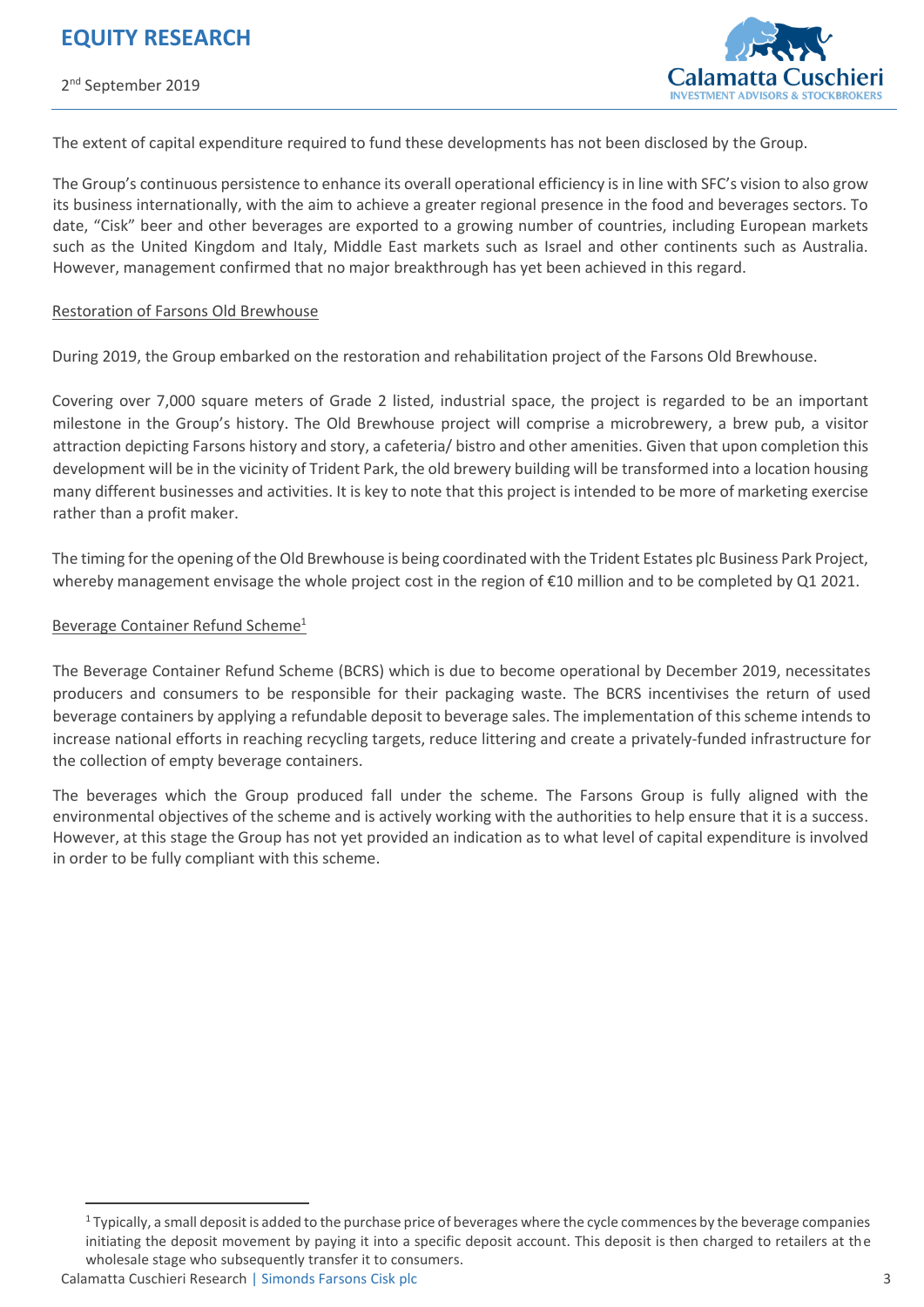

The extent of capital expenditure required to fund these developments has not been disclosed by the Group.

The Group's continuous persistence to enhance its overall operational efficiency is in line with SFC's vision to also grow its business internationally, with the aim to achieve a greater regional presence in the food and beverages sectors. To date, "Cisk" beer and other beverages are exported to a growing number of countries, including European markets such as the United Kingdom and Italy, Middle East markets such as Israel and other continents such as Australia. However, management confirmed that no major breakthrough has yet been achieved in this regard.

#### Restoration of Farsons Old Brewhouse

During 2019, the Group embarked on the restoration and rehabilitation project of the Farsons Old Brewhouse.

Covering over 7,000 square meters of Grade 2 listed, industrial space, the project is regarded to be an important milestone in the Group's history. The Old Brewhouse project will comprise a microbrewery, a brew pub, a visitor attraction depicting Farsons history and story, a cafeteria/ bistro and other amenities. Given that upon completion this development will be in the vicinity of Trident Park, the old brewery building will be transformed into a location housing many different businesses and activities. It is key to note that this project is intended to be more of marketing exercise rather than a profit maker.

The timing for the opening of the Old Brewhouse is being coordinated with the Trident Estates plc Business Park Project, whereby management envisage the whole project cost in the region of €10 million and to be completed by Q1 2021.

#### Beverage Container Refund Scheme<sup>1</sup>

The Beverage Container Refund Scheme (BCRS) which is due to become operational by December 2019, necessitates producers and consumers to be responsible for their packaging waste. The BCRS incentivises the return of used beverage containers by applying a refundable deposit to beverage sales. The implementation of this scheme intends to increase national efforts in reaching recycling targets, reduce littering and create a privately-funded infrastructure for the collection of empty beverage containers.

The beverages which the Group produced fall under the scheme. The Farsons Group is fully aligned with the environmental objectives of the scheme and is actively working with the authorities to help ensure that it is a success. However, at this stage the Group has not yet provided an indication as to what level of capital expenditure is involved in order to be fully compliant with this scheme.

 $\overline{a}$ 

 $1$  Typically, a small deposit is added to the purchase price of beverages where the cycle commences by the beverage companies initiating the deposit movement by paying it into a specific deposit account. This deposit is then charged to retailers at the wholesale stage who subsequently transfer it to consumers.

Calamatta Cuschieri Research | Simonds Farsons Cisk plc 3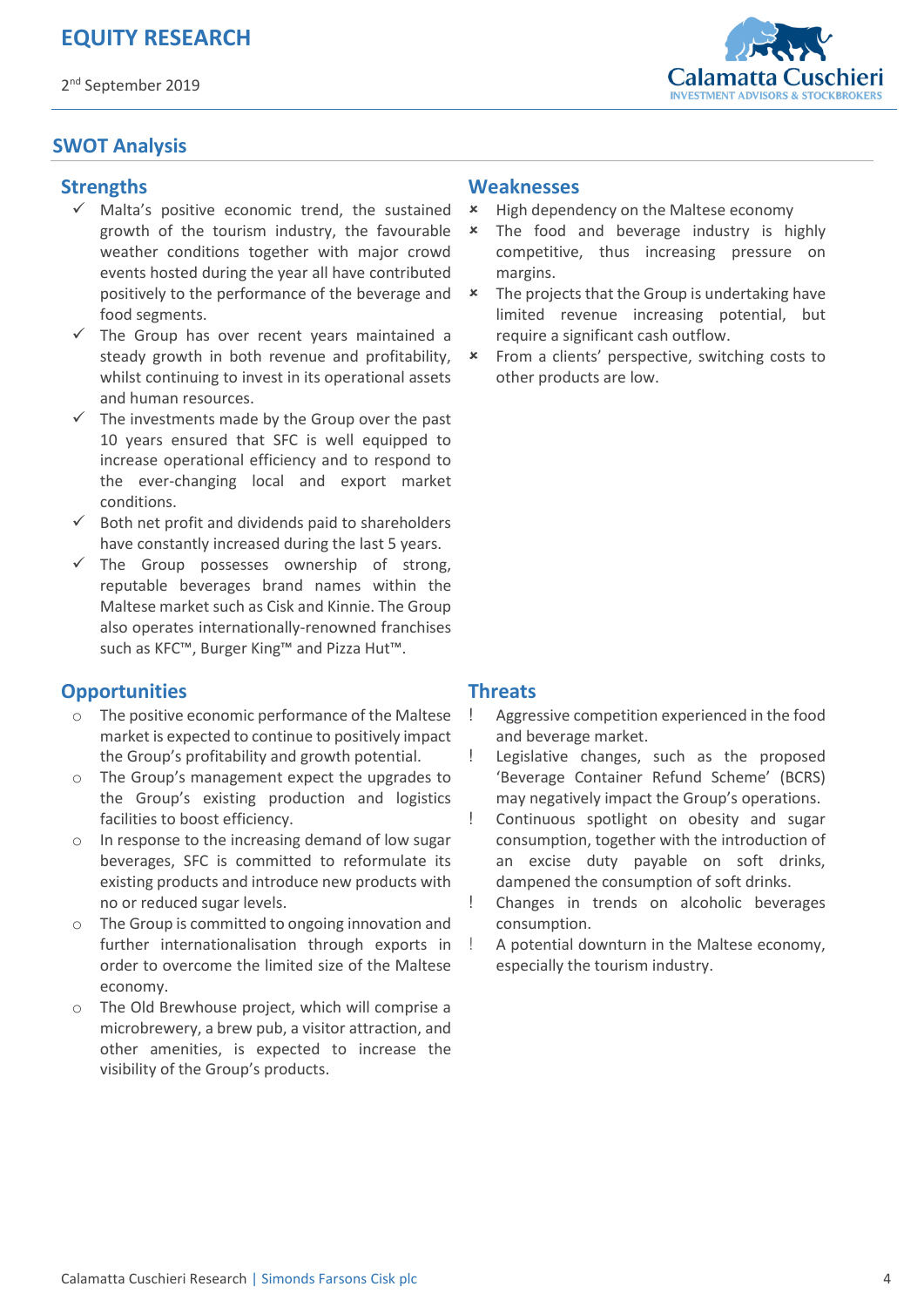#### 2<sup>nd</sup> September 2019



### **SWOT Analysis**

#### **Strengths**

- $\checkmark$  Malta's positive economic trend, the sustained growth of the tourism industry, the favourable weather conditions together with major crowd events hosted during the year all have contributed positively to the performance of the beverage and food segments.
- The Group has over recent years maintained a steady growth in both revenue and profitability, whilst continuing to invest in its operational assets and human resources.
- The investments made by the Group over the past 10 years ensured that SFC is well equipped to increase operational efficiency and to respond to the ever-changing local and export market conditions.
- Both net profit and dividends paid to shareholders have constantly increased during the last 5 years.
- $\checkmark$  The Group possesses ownership of strong, reputable beverages brand names within the Maltese market such as Cisk and Kinnie. The Group also operates internationally-renowned franchises such as KFC™, Burger King™ and Pizza Hut™.

#### **Opportunities**

- o The positive economic performance of the Maltese market is expected to continue to positively impact the Group's profitability and growth potential.
- o The Group's management expect the upgrades to the Group's existing production and logistics facilities to boost efficiency.
- o In response to the increasing demand of low sugar beverages, SFC is committed to reformulate its existing products and introduce new products with no or reduced sugar levels.
- o The Group is committed to ongoing innovation and further internationalisation through exports in order to overcome the limited size of the Maltese economy.
- o The Old Brewhouse project, which will comprise a microbrewery, a brew pub, a visitor attraction, and other amenities, is expected to increase the visibility of the Group's products.

#### **Weaknesses**

- \* High dependency on the Maltese economy
- The food and beverage industry is highly competitive, thus increasing pressure on margins.
- \* The projects that the Group is undertaking have limited revenue increasing potential, but require a significant cash outflow.
- From a clients' perspective, switching costs to other products are low.

#### **Threats**

- Aggressive competition experienced in the food and beverage market.
- ! Legislative changes, such as the proposed 'Beverage Container Refund Scheme' (BCRS) may negatively impact the Group's operations.
- ! Continuous spotlight on obesity and sugar consumption, together with the introduction of an excise duty payable on soft drinks, dampened the consumption of soft drinks.
- ! Changes in trends on alcoholic beverages consumption.
- ! A potential downturn in the Maltese economy, especially the tourism industry.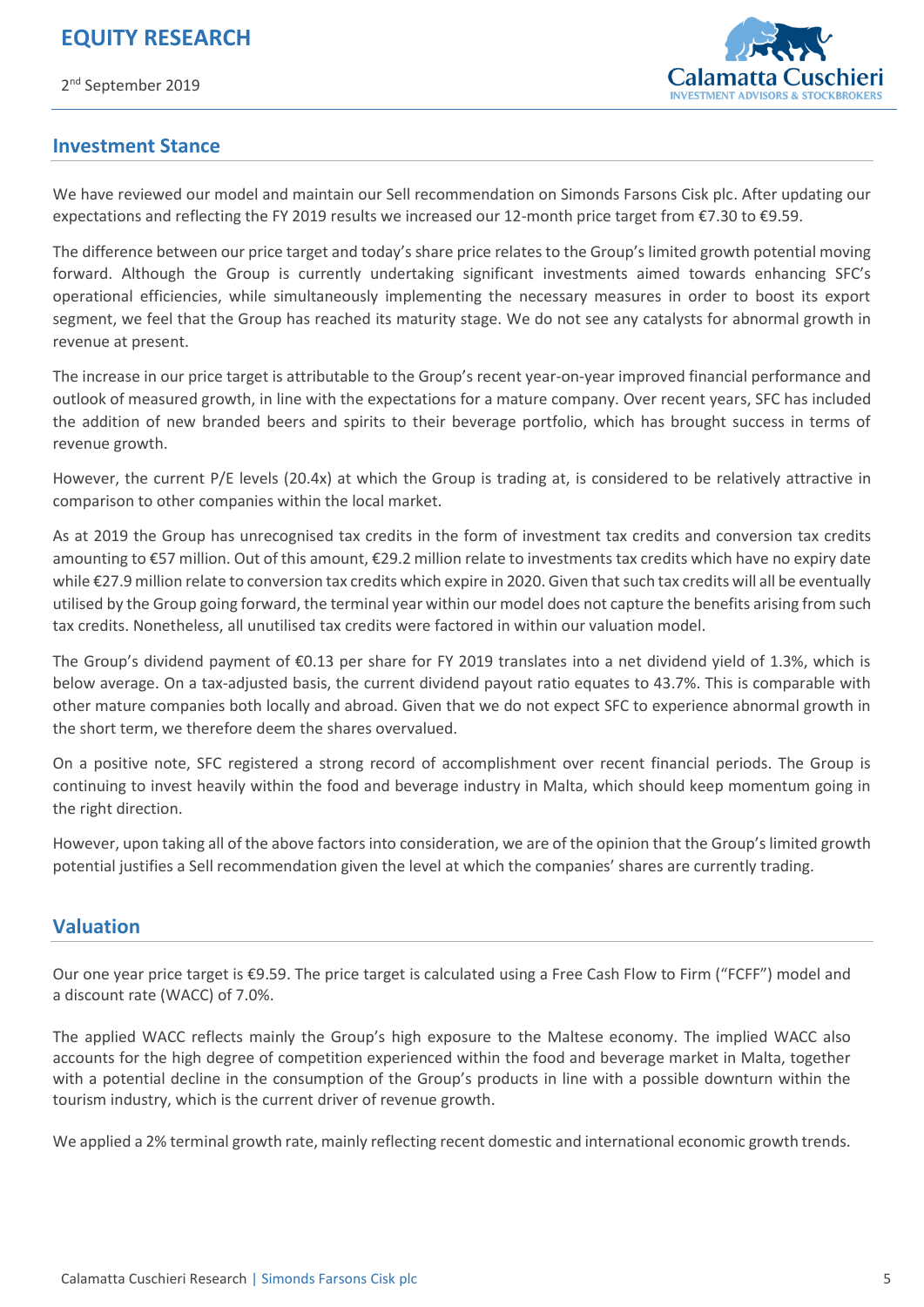2<sup>nd</sup> September 2019



#### **Investment Stance**

We have reviewed our model and maintain our Sell recommendation on Simonds Farsons Cisk plc. After updating our expectations and reflecting the FY 2019 results we increased our 12-month price target from €7.30 to €9.59.

The difference between our price target and today's share price relates to the Group's limited growth potential moving forward. Although the Group is currently undertaking significant investments aimed towards enhancing SFC's operational efficiencies, while simultaneously implementing the necessary measures in order to boost its export segment, we feel that the Group has reached its maturity stage. We do not see any catalysts for abnormal growth in revenue at present.

The increase in our price target is attributable to the Group's recent year-on-year improved financial performance and outlook of measured growth, in line with the expectations for a mature company. Over recent years, SFC has included the addition of new branded beers and spirits to their beverage portfolio, which has brought success in terms of revenue growth.

However, the current P/E levels (20.4x) at which the Group is trading at, is considered to be relatively attractive in comparison to other companies within the local market.

As at 2019 the Group has unrecognised tax credits in the form of investment tax credits and conversion tax credits amounting to €57 million. Out of this amount, €29.2 million relate to investments tax credits which have no expiry date while €27.9 million relate to conversion tax credits which expire in 2020. Given that such tax credits will all be eventually utilised by the Group going forward, the terminal year within our model does not capture the benefits arising from such tax credits. Nonetheless, all unutilised tax credits were factored in within our valuation model.

The Group's dividend payment of €0.13 per share for FY 2019 translates into a net dividend yield of 1.3%, which is below average. On a tax-adjusted basis, the current dividend payout ratio equates to 43.7%. This is comparable with other mature companies both locally and abroad. Given that we do not expect SFC to experience abnormal growth in the short term, we therefore deem the shares overvalued.

On a positive note, SFC registered a strong record of accomplishment over recent financial periods. The Group is continuing to invest heavily within the food and beverage industry in Malta, which should keep momentum going in the right direction.

However, upon taking all of the above factors into consideration, we are of the opinion that the Group's limited growth potential justifies a Sell recommendation given the level at which the companies' shares are currently trading.

#### **Valuation**

Our one year price target is €9.59. The price target is calculated using a Free Cash Flow to Firm ("FCFF") model and a discount rate (WACC) of 7.0%.

The applied WACC reflects mainly the Group's high exposure to the Maltese economy. The implied WACC also accounts for the high degree of competition experienced within the food and beverage market in Malta, together with a potential decline in the consumption of the Group's products in line with a possible downturn within the tourism industry, which is the current driver of revenue growth.

We applied a 2% terminal growth rate, mainly reflecting recent domestic and international economic growth trends.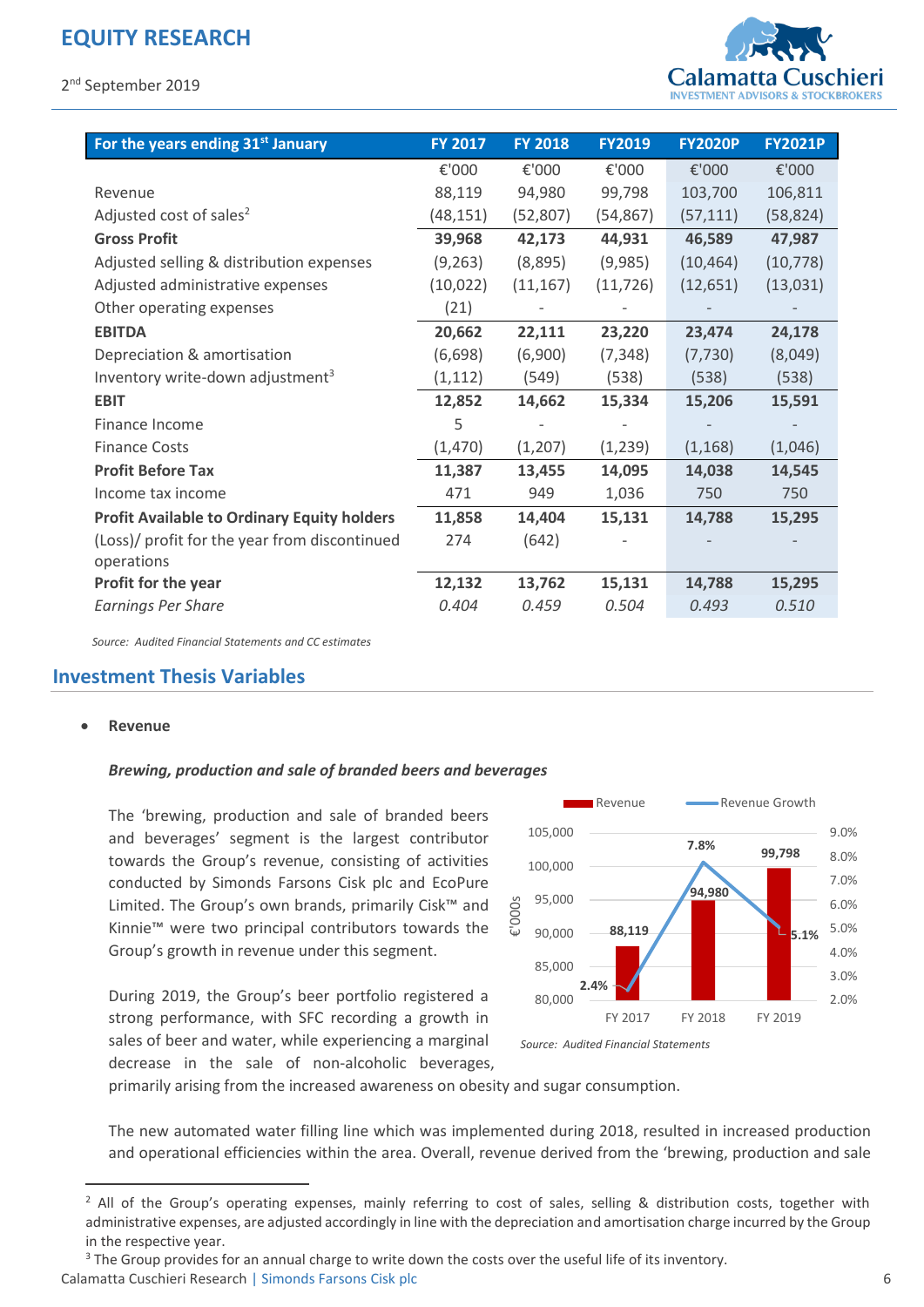

| For the years ending 31 <sup>st</sup> January      | <b>FY 2017</b> | <b>FY 2018</b> | <b>FY2019</b> | <b>FY2020P</b> | <b>FY2021P</b> |
|----------------------------------------------------|----------------|----------------|---------------|----------------|----------------|
|                                                    | €'000          | €'000          | €'000         | €'000          | €'000          |
| Revenue                                            | 88,119         | 94,980         | 99,798        | 103,700        | 106,811        |
| Adjusted cost of sales <sup>2</sup>                | (48, 151)      | (52, 807)      | (54, 867)     | (57, 111)      | (58, 824)      |
| <b>Gross Profit</b>                                | 39,968         | 42,173         | 44,931        | 46,589         | 47,987         |
| Adjusted selling & distribution expenses           | (9, 263)       | (8,895)        | (9,985)       | (10, 464)      | (10, 778)      |
| Adjusted administrative expenses                   | (10, 022)      | (11, 167)      | (11, 726)     | (12, 651)      | (13,031)       |
| Other operating expenses                           | (21)           |                |               |                |                |
| <b>EBITDA</b>                                      | 20,662         | 22,111         | 23,220        | 23,474         | 24,178         |
| Depreciation & amortisation                        | (6,698)        | (6,900)        | (7, 348)      | (7, 730)       | (8,049)        |
| Inventory write-down adjustment <sup>3</sup>       | (1, 112)       | (549)          | (538)         | (538)          | (538)          |
| <b>EBIT</b>                                        | 12,852         | 14,662         | 15,334        | 15,206         | 15,591         |
| Finance Income                                     | 5              |                |               |                |                |
| <b>Finance Costs</b>                               | (1,470)        | (1, 207)       | (1, 239)      | (1, 168)       | (1,046)        |
| <b>Profit Before Tax</b>                           | 11,387         | 13,455         | 14,095        | 14,038         | 14,545         |
| Income tax income                                  | 471            | 949            | 1,036         | 750            | 750            |
| <b>Profit Available to Ordinary Equity holders</b> | 11,858         | 14,404         | 15,131        | 14,788         | 15,295         |
| (Loss)/ profit for the year from discontinued      | 274            | (642)          |               |                |                |
| operations                                         |                |                |               |                |                |
| Profit for the year                                | 12,132         | 13,762         | 15,131        | 14,788         | 15,295         |
| <b>Earnings Per Share</b>                          | 0.404          | 0.459          | 0.504         | 0.493          | 0.510          |

*Source: Audited Financial Statements and CC estimates* 

#### **Investment Thesis Variables**

#### **Revenue**

 $\overline{a}$ 

#### *Brewing, production and sale of branded beers and beverages*

The 'brewing, production and sale of branded beers and beverages' segment is the largest contributor towards the Group's revenue, consisting of activities conducted by Simonds Farsons Cisk plc and EcoPure Limited. The Group's own brands, primarily Cisk™ and Kinnie™ were two principal contributors towards the Group's growth in revenue under this segment.

During 2019, the Group's beer portfolio registered a strong performance, with SFC recording a growth in sales of beer and water, while experiencing a marginal decrease in the sale of non-alcoholic beverages,



*Source: Audited Financial Statements* 

primarily arising from the increased awareness on obesity and sugar consumption.

The new automated water filling line which was implemented during 2018, resulted in increased production and operational efficiencies within the area. Overall, revenue derived from the 'brewing, production and sale

<sup>&</sup>lt;sup>2</sup> All of the Group's operating expenses, mainly referring to cost of sales, selling & distribution costs, together with administrative expenses, are adjusted accordingly in line with the depreciation and amortisation charge incurred by the Group in the respective year.

Calamatta Cuschieri Research | Simonds Farsons Cisk plc 6 <sup>3</sup> The Group provides for an annual charge to write down the costs over the useful life of its inventory.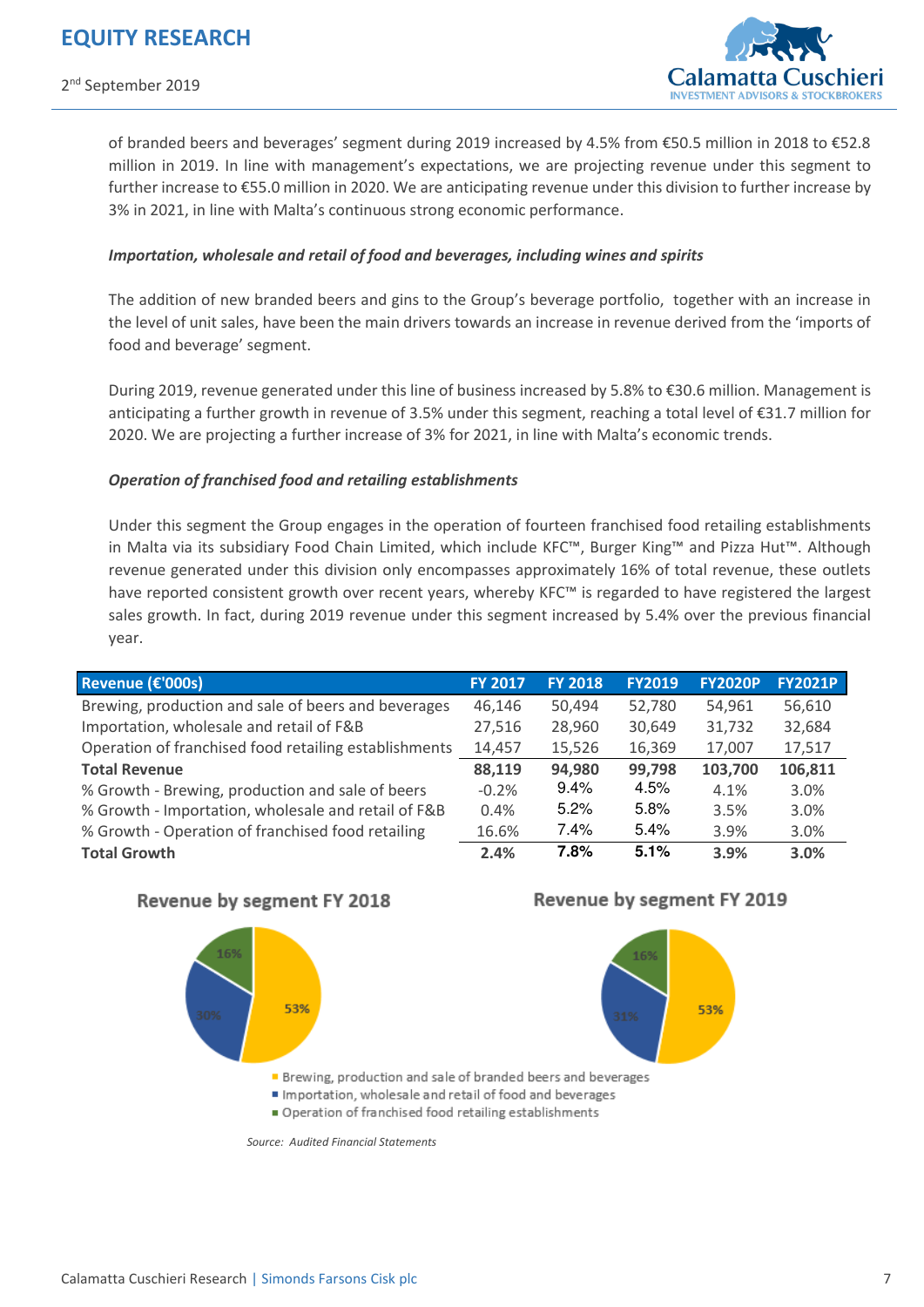

of branded beers and beverages' segment during 2019 increased by 4.5% from €50.5 million in 2018 to €52.8 million in 2019. In line with management's expectations, we are projecting revenue under this segment to further increase to €55.0 million in 2020. We are anticipating revenue under this division to further increase by 3% in 2021, in line with Malta's continuous strong economic performance.

#### *Importation, wholesale and retail of food and beverages, including wines and spirits*

The addition of new branded beers and gins to the Group's beverage portfolio, together with an increase in the level of unit sales, have been the main drivers towards an increase in revenue derived from the 'imports of food and beverage' segment.

During 2019, revenue generated under this line of business increased by 5.8% to €30.6 million. Management is anticipating a further growth in revenue of 3.5% under this segment, reaching a total level of €31.7 million for 2020. We are projecting a further increase of 3% for 2021, in line with Malta's economic trends.

#### *Operation of franchised food and retailing establishments*

Under this segment the Group engages in the operation of fourteen franchised food retailing establishments in Malta via its subsidiary Food Chain Limited, which include KFC™, Burger King™ and Pizza Hut™. Although revenue generated under this division only encompasses approximately 16% of total revenue, these outlets have reported consistent growth over recent years, whereby KFC™ is regarded to have registered the largest sales growth. In fact, during 2019 revenue under this segment increased by 5.4% over the previous financial year.

| Revenue (€'000s)                                      | <b>FY 2017</b> | <b>FY 2018</b> | <b>FY2019</b> | <b>FY2020P</b> | <b>FY2021P</b> |
|-------------------------------------------------------|----------------|----------------|---------------|----------------|----------------|
| Brewing, production and sale of beers and beverages   | 46,146         | 50,494         | 52,780        | 54,961         | 56,610         |
| Importation, wholesale and retail of F&B              | 27,516         | 28,960         | 30,649        | 31,732         | 32,684         |
| Operation of franchised food retailing establishments | 14,457         | 15,526         | 16,369        | 17,007         | 17,517         |
| <b>Total Revenue</b>                                  | 88,119         | 94,980         | 99,798        | 103,700        | 106,811        |
| % Growth - Brewing, production and sale of beers      | $-0.2%$        | 9.4%           | 4.5%          | 4.1%           | 3.0%           |
| % Growth - Importation, wholesale and retail of F&B   | 0.4%           | 5.2%           | 5.8%          | 3.5%           | 3.0%           |
| % Growth - Operation of franchised food retailing     | 16.6%          | $7.4\%$        | 5.4%          | 3.9%           | 3.0%           |
| <b>Total Growth</b>                                   | 2.4%           | 7.8%           | 5.1%          | 3.9%           | 3.0%           |

#### Revenue by segment FY 2018



#### Revenue by segment FY 2019



Brewing, production and sale of branded beers and beverages

- Importation, wholesale and retail of food and beverages
- Operation of franchised food retailing establishments

*Source: Audited Financial Statements*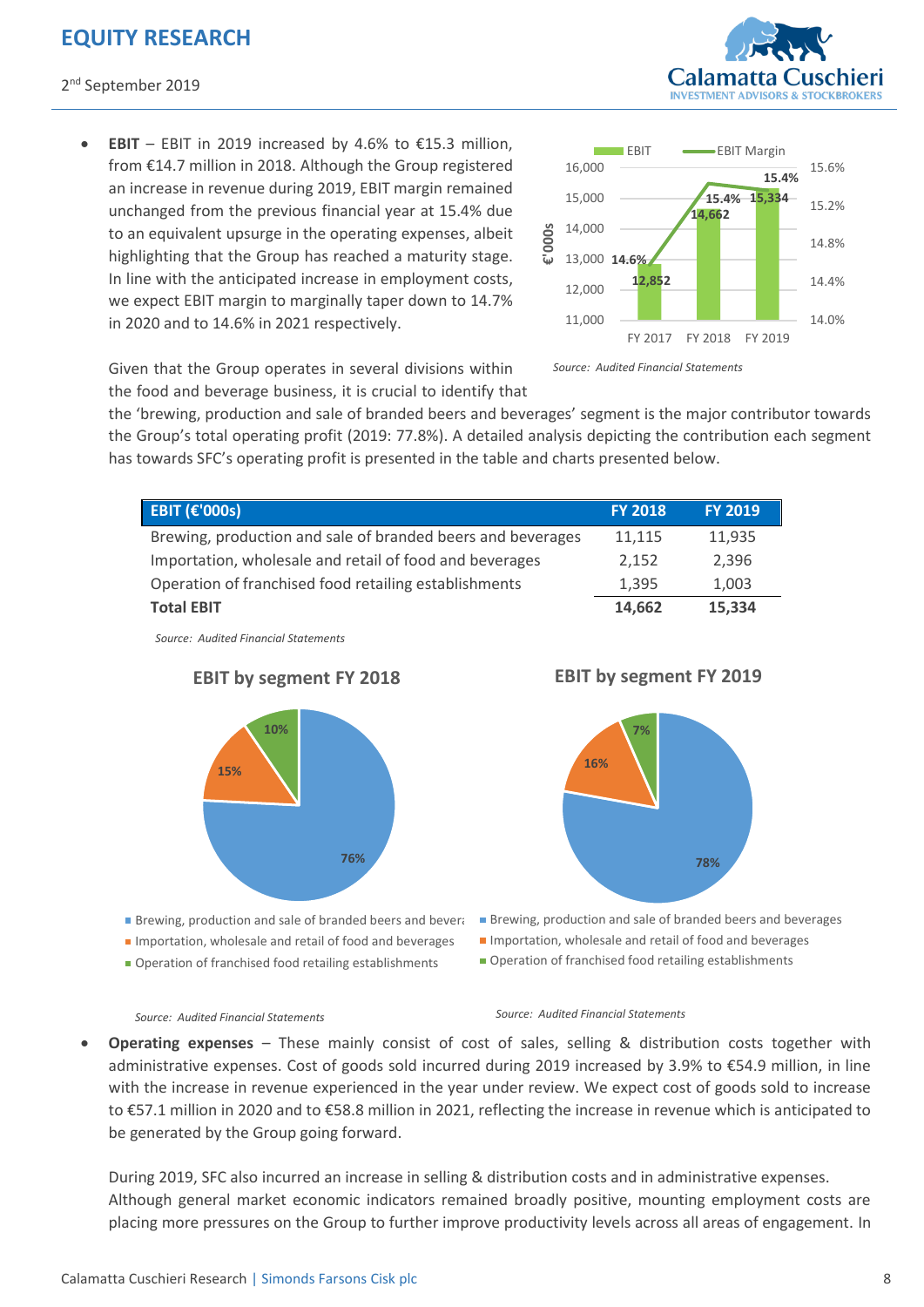**EBIT** – EBIT in 2019 increased by 4.6% to  $£15.3$  million, from €14.7 million in 2018. Although the Group registered an increase in revenue during 2019, EBIT margin remained unchanged from the previous financial year at 15.4% due to an equivalent upsurge in the operating expenses, albeit highlighting that the Group has reached a maturity stage. In line with the anticipated increase in employment costs, we expect EBIT margin to marginally taper down to 14.7% in 2020 and to 14.6% in 2021 respectively.





Given that the Group operates in several divisions within the food and beverage business, it is crucial to identify that

the 'brewing, production and sale of branded beers and beverages' segment is the major contributor towards the Group's total operating profit (2019: 77.8%). A detailed analysis depicting the contribution each segment has towards SFC's operating profit is presented in the table and charts presented below.

| <b>EBIT (€'000s)</b>                                        | <b>FY 2018</b> | <b>FY 2019</b> |
|-------------------------------------------------------------|----------------|----------------|
| Brewing, production and sale of branded beers and beverages | 11,115         | 11,935         |
| Importation, wholesale and retail of food and beverages     | 2,152          | 2,396          |
| Operation of franchised food retailing establishments       | 1,395          | 1,003          |
| <b>Total EBIT</b>                                           | 14,662         | 15,334         |

*Source: Audited Financial Statements* 



Brewing, production and sale of branded beers and beverages **Importation, wholesale and retail of food and beverages** Operation of franchised food retailing establishments

**EBIT by segment FY 2018**

**EBIT by segment FY 2019**



- **Brewing, production and sale of branded beers and beverages**
- **Importation, wholesale and retail of food and beverages**
- Operation of franchised food retailing establishments

#### *Source: Audited Financial Statements Source: Audited Financial Statements*

 **Operating expenses** – These mainly consist of cost of sales, selling & distribution costs together with administrative expenses. Cost of goods sold incurred during 2019 increased by 3.9% to €54.9 million, in line with the increase in revenue experienced in the year under review. We expect cost of goods sold to increase to €57.1 million in 2020 and to €58.8 million in 2021, reflecting the increase in revenue which is anticipated to be generated by the Group going forward.

During 2019, SFC also incurred an increase in selling & distribution costs and in administrative expenses. Although general market economic indicators remained broadly positive, mounting employment costs are placing more pressures on the Group to further improve productivity levels across all areas of engagement. In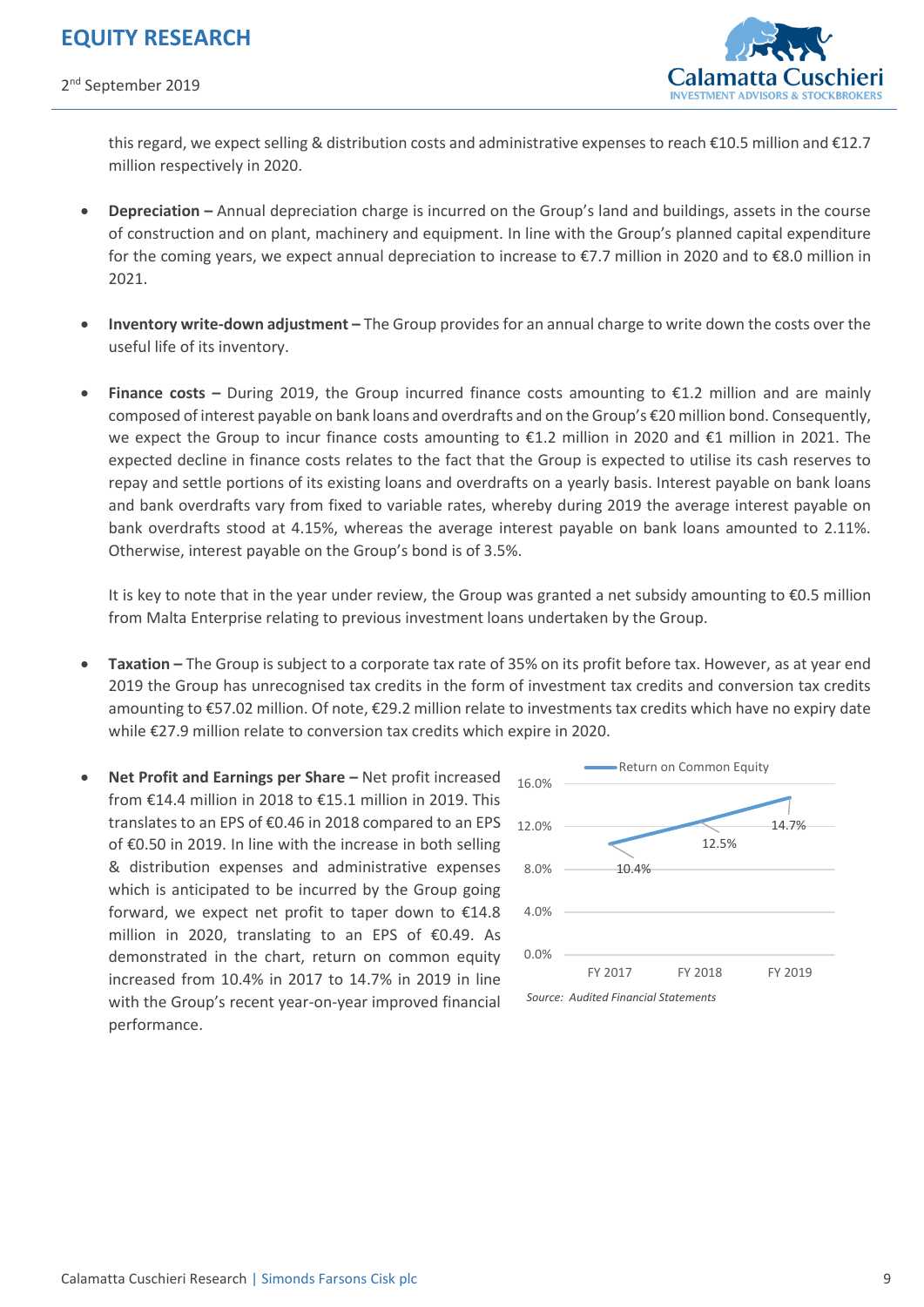

this regard, we expect selling & distribution costs and administrative expenses to reach €10.5 million and €12.7 million respectively in 2020.

- **Depreciation –** Annual depreciation charge is incurred on the Group's land and buildings, assets in the course of construction and on plant, machinery and equipment. In line with the Group's planned capital expenditure for the coming years, we expect annual depreciation to increase to €7.7 million in 2020 and to €8.0 million in 2021.
- **Inventory write-down adjustment –** The Group provides for an annual charge to write down the costs over the useful life of its inventory.
- **Finance costs –** During 2019, the Group incurred finance costs amounting to €1.2 million and are mainly composed of interest payable on bank loans and overdrafts and on the Group's €20 million bond. Consequently, we expect the Group to incur finance costs amounting to €1.2 million in 2020 and €1 million in 2021. The expected decline in finance costs relates to the fact that the Group is expected to utilise its cash reserves to repay and settle portions of its existing loans and overdrafts on a yearly basis. Interest payable on bank loans and bank overdrafts vary from fixed to variable rates, whereby during 2019 the average interest payable on bank overdrafts stood at 4.15%, whereas the average interest payable on bank loans amounted to 2.11%. Otherwise, interest payable on the Group's bond is of 3.5%.

It is key to note that in the year under review, the Group was granted a net subsidy amounting to €0.5 million from Malta Enterprise relating to previous investment loans undertaken by the Group.

- **Taxation –** The Group is subject to a corporate tax rate of 35% on its profit before tax. However, as at year end 2019 the Group has unrecognised tax credits in the form of investment tax credits and conversion tax credits amounting to €57.02 million. Of note, €29.2 million relate to investments tax credits which have no expiry date while €27.9 million relate to conversion tax credits which expire in 2020.
- **•** Net Profit and Earnings per Share Net profit increased from €14.4 million in 2018 to €15.1 million in 2019. This translates to an EPS of €0.46 in 2018 compared to an EPS of €0.50 in 2019. In line with the increase in both selling & distribution expenses and administrative expenses which is anticipated to be incurred by the Group going forward, we expect net profit to taper down to €14.8 million in 2020, translating to an EPS of €0.49. As demonstrated in the chart, return on common equity increased from 10.4% in 2017 to 14.7% in 2019 in line with the Group's recent year-on-year improved financial performance.



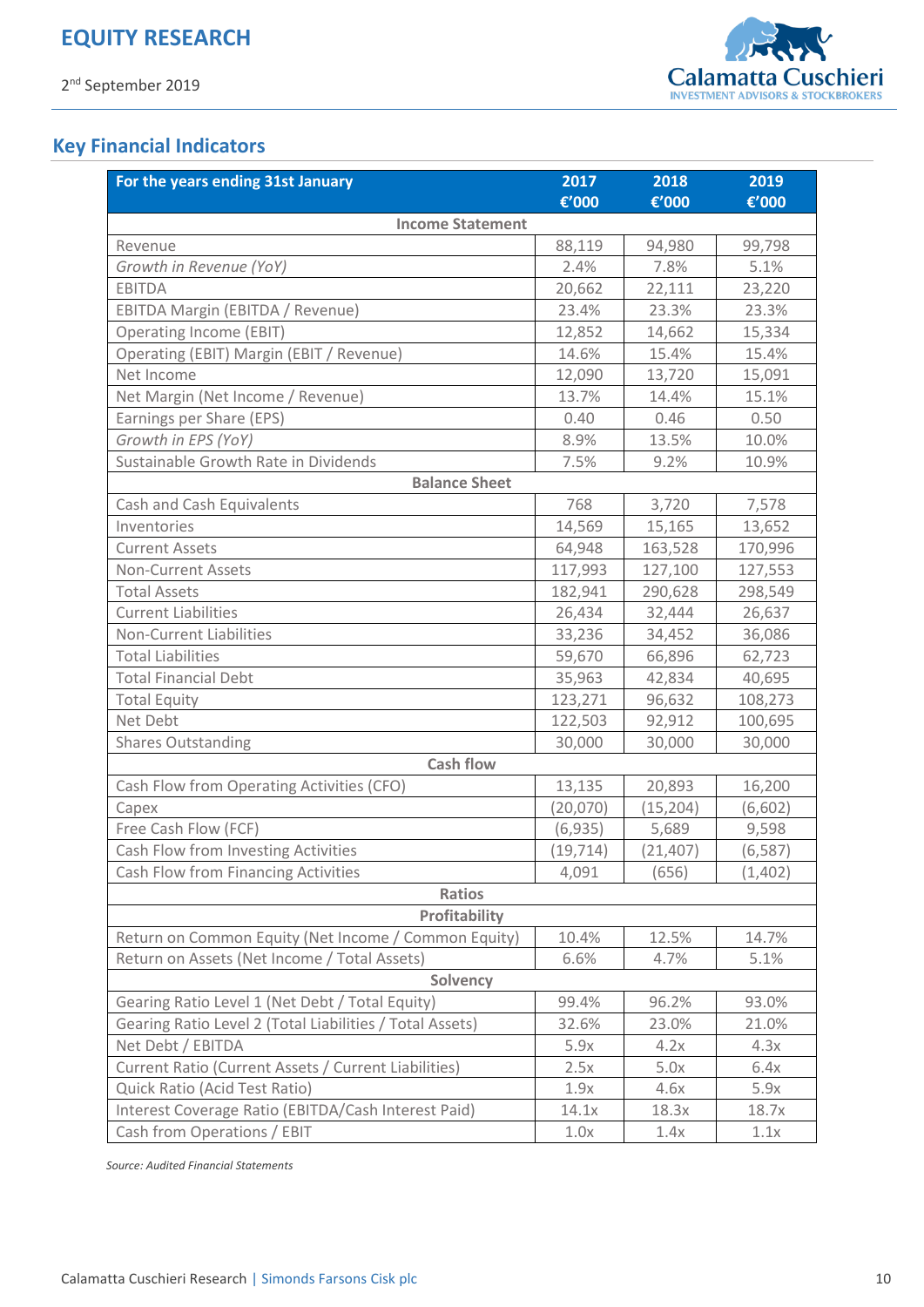

## **Key Financial Indicators**

| For the years ending 31st January                        | 2017      | 2018      | 2019     |  |  |
|----------------------------------------------------------|-----------|-----------|----------|--|--|
|                                                          | €'000     | €'000     | €'000    |  |  |
| <b>Income Statement</b>                                  |           |           |          |  |  |
| Revenue                                                  | 88,119    | 94,980    | 99,798   |  |  |
| Growth in Revenue (YoY)                                  | 2.4%      | 7.8%      | 5.1%     |  |  |
| <b>EBITDA</b>                                            | 20,662    | 22,111    | 23,220   |  |  |
| EBITDA Margin (EBITDA / Revenue)                         | 23.4%     | 23.3%     | 23.3%    |  |  |
| <b>Operating Income (EBIT)</b>                           | 12,852    | 14,662    | 15,334   |  |  |
| Operating (EBIT) Margin (EBIT / Revenue)                 | 14.6%     | 15.4%     | 15.4%    |  |  |
| Net Income                                               | 12,090    | 13,720    | 15,091   |  |  |
| Net Margin (Net Income / Revenue)                        | 13.7%     | 14.4%     | 15.1%    |  |  |
| Earnings per Share (EPS)                                 | 0.40      | 0.46      | 0.50     |  |  |
| Growth in EPS (YoY)                                      | 8.9%      | 13.5%     | 10.0%    |  |  |
| Sustainable Growth Rate in Dividends                     | 7.5%      | 9.2%      | 10.9%    |  |  |
| <b>Balance Sheet</b>                                     |           |           |          |  |  |
| Cash and Cash Equivalents                                | 768       | 3,720     | 7,578    |  |  |
| Inventories                                              | 14,569    | 15,165    | 13,652   |  |  |
| <b>Current Assets</b>                                    | 64,948    | 163,528   | 170,996  |  |  |
| <b>Non-Current Assets</b>                                | 117,993   | 127,100   | 127,553  |  |  |
| <b>Total Assets</b>                                      | 182,941   | 290,628   | 298,549  |  |  |
| <b>Current Liabilities</b>                               | 26,434    | 32,444    | 26,637   |  |  |
| <b>Non-Current Liabilities</b>                           | 33,236    | 34,452    | 36,086   |  |  |
| <b>Total Liabilities</b>                                 | 59,670    | 66,896    | 62,723   |  |  |
| <b>Total Financial Debt</b>                              | 35,963    | 42,834    | 40,695   |  |  |
| <b>Total Equity</b>                                      | 123,271   | 96,632    | 108,273  |  |  |
| Net Debt                                                 | 122,503   | 92,912    | 100,695  |  |  |
| <b>Shares Outstanding</b>                                | 30,000    | 30,000    | 30,000   |  |  |
| <b>Cash flow</b>                                         |           |           |          |  |  |
| Cash Flow from Operating Activities (CFO)                | 13,135    | 20,893    | 16,200   |  |  |
| Capex                                                    | (20,070)  | (15, 204) | (6, 602) |  |  |
| Free Cash Flow (FCF)                                     | (6, 935)  | 5,689     | 9,598    |  |  |
| Cash Flow from Investing Activities                      | (19, 714) | (21, 407) | (6, 587) |  |  |
| Cash Flow from Financing Activities                      | 4,091     | (656)     | (1,402)  |  |  |
| <b>Ratios</b>                                            |           |           |          |  |  |
| Profitability                                            |           |           |          |  |  |
| Return on Common Equity (Net Income / Common Equity)     | 10.4%     | 12.5%     | 14.7%    |  |  |
| Return on Assets (Net Income / Total Assets)             | 6.6%      | 4.7%      | 5.1%     |  |  |
| Solvency                                                 |           |           |          |  |  |
| Gearing Ratio Level 1 (Net Debt / Total Equity)          | 99.4%     | 96.2%     | 93.0%    |  |  |
| Gearing Ratio Level 2 (Total Liabilities / Total Assets) | 32.6%     | 23.0%     | 21.0%    |  |  |
| Net Debt / EBITDA                                        | 5.9x      | 4.2x      | 4.3x     |  |  |
| Current Ratio (Current Assets / Current Liabilities)     | 2.5x      | 5.0x      | 6.4x     |  |  |
| Quick Ratio (Acid Test Ratio)                            | 1.9x      | 4.6x      | 5.9x     |  |  |
| Interest Coverage Ratio (EBITDA/Cash Interest Paid)      | 14.1x     | 18.3x     | 18.7x    |  |  |
| Cash from Operations / EBIT                              | 1.0x      | 1.4x      | 1.1x     |  |  |

*Source: Audited Financial Statements*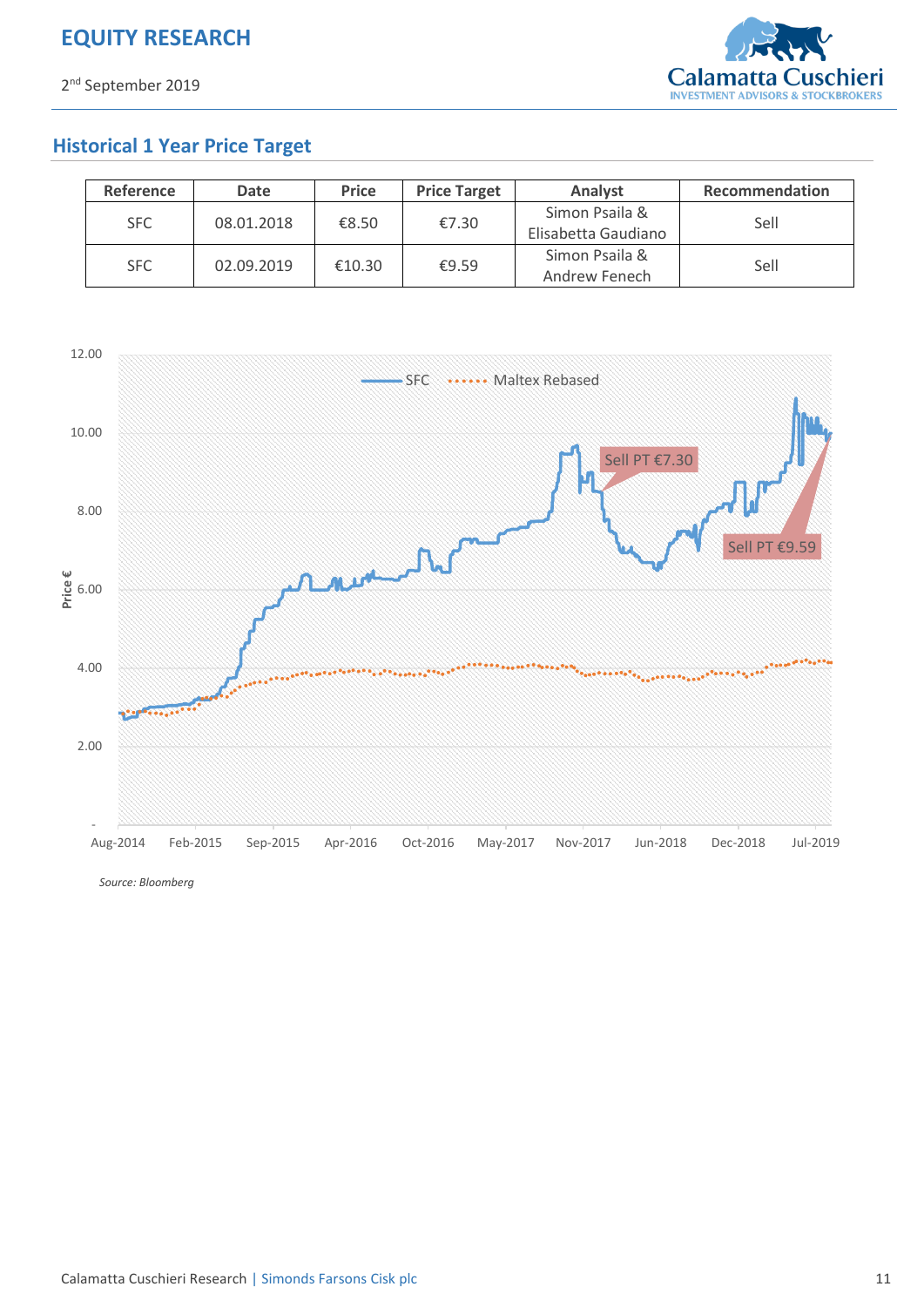

## **Historical 1 Year Price Target**

| <b>Reference</b> | <b>Date</b> | <b>Price</b> | <b>Price Target</b> | Analyst                               | Recommendation |
|------------------|-------------|--------------|---------------------|---------------------------------------|----------------|
| <b>SFC</b>       | 08.01.2018  | €8.50        | €7.30               | Simon Psaila &<br>Elisabetta Gaudiano | Sell           |
| <b>SFC</b>       | 02.09.2019  | €10.30       | €9.59               | Simon Psaila &<br>Andrew Fenech       | Sell           |



*Source: Bloomberg*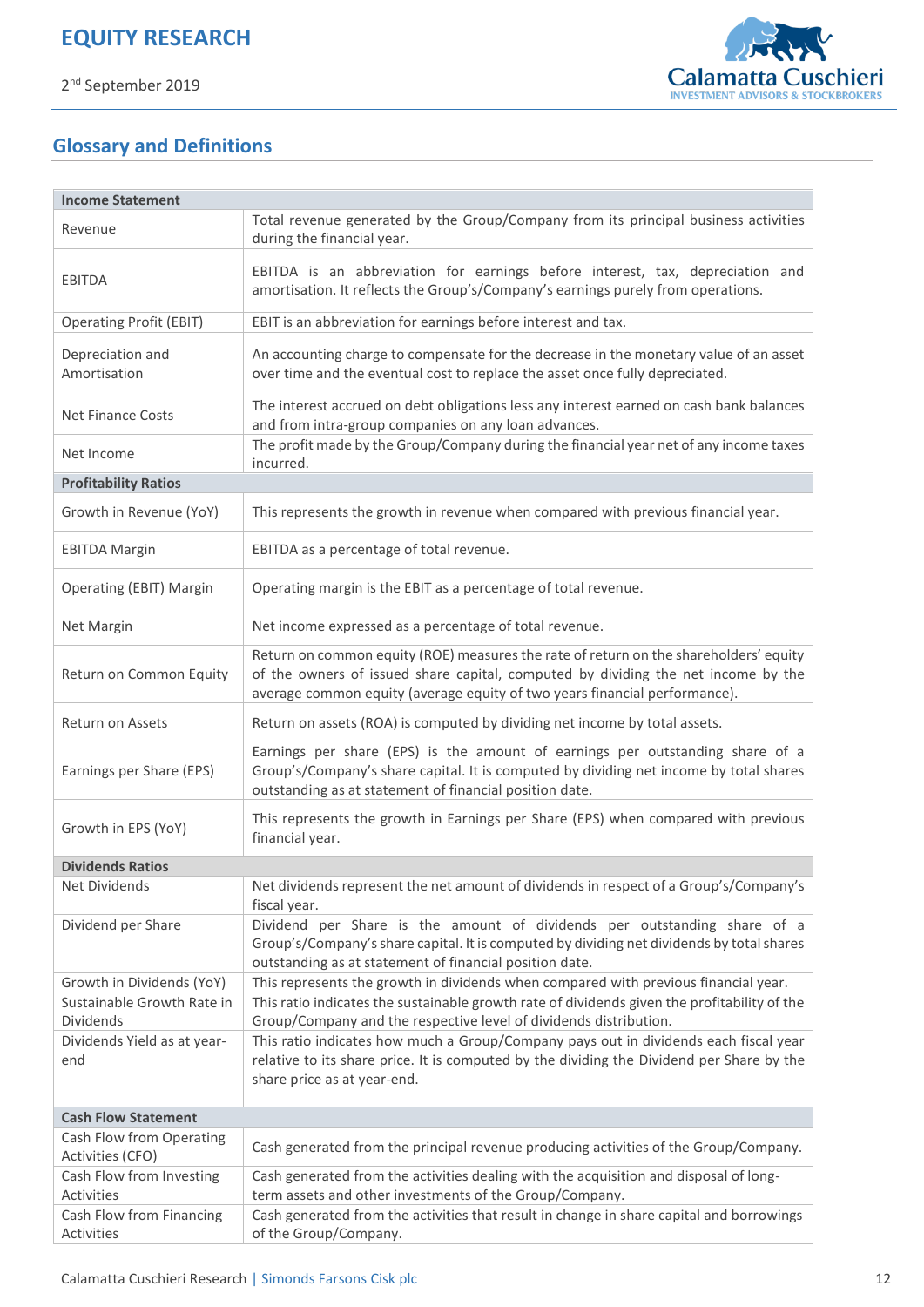

## **Glossary and Definitions**

| <b>Income Statement</b>                 |                                                                                                                                                                                                                                                          |
|-----------------------------------------|----------------------------------------------------------------------------------------------------------------------------------------------------------------------------------------------------------------------------------------------------------|
| Revenue                                 | Total revenue generated by the Group/Company from its principal business activities<br>during the financial year.                                                                                                                                        |
| <b>EBITDA</b>                           | EBITDA is an abbreviation for earnings before interest, tax, depreciation and<br>amortisation. It reflects the Group's/Company's earnings purely from operations.                                                                                        |
| <b>Operating Profit (EBIT)</b>          | EBIT is an abbreviation for earnings before interest and tax.                                                                                                                                                                                            |
| Depreciation and<br>Amortisation        | An accounting charge to compensate for the decrease in the monetary value of an asset<br>over time and the eventual cost to replace the asset once fully depreciated.                                                                                    |
| <b>Net Finance Costs</b>                | The interest accrued on debt obligations less any interest earned on cash bank balances<br>and from intra-group companies on any loan advances.                                                                                                          |
| Net Income                              | The profit made by the Group/Company during the financial year net of any income taxes<br>incurred.                                                                                                                                                      |
| <b>Profitability Ratios</b>             |                                                                                                                                                                                                                                                          |
| Growth in Revenue (YoY)                 | This represents the growth in revenue when compared with previous financial year.                                                                                                                                                                        |
| <b>EBITDA Margin</b>                    | EBITDA as a percentage of total revenue.                                                                                                                                                                                                                 |
| <b>Operating (EBIT) Margin</b>          | Operating margin is the EBIT as a percentage of total revenue.                                                                                                                                                                                           |
| Net Margin                              | Net income expressed as a percentage of total revenue.                                                                                                                                                                                                   |
| Return on Common Equity                 | Return on common equity (ROE) measures the rate of return on the shareholders' equity<br>of the owners of issued share capital, computed by dividing the net income by the<br>average common equity (average equity of two years financial performance). |
| Return on Assets                        | Return on assets (ROA) is computed by dividing net income by total assets.                                                                                                                                                                               |
| Earnings per Share (EPS)                | Earnings per share (EPS) is the amount of earnings per outstanding share of a<br>Group's/Company's share capital. It is computed by dividing net income by total shares<br>outstanding as at statement of financial position date.                       |
| Growth in EPS (YoY)                     | This represents the growth in Earnings per Share (EPS) when compared with previous<br>financial year.                                                                                                                                                    |
| <b>Dividends Ratios</b>                 |                                                                                                                                                                                                                                                          |
| Net Dividends                           | Net dividends represent the net amount of dividends in respect of a Group's/Company's<br>fiscal year.                                                                                                                                                    |
| Dividend per Share                      | Dividend per Share is the amount of dividends per outstanding share of a<br>Group's/Company's share capital. It is computed by dividing net dividends by total shares<br>outstanding as at statement of financial position date.                         |
| Growth in Dividends (YoY)               | This represents the growth in dividends when compared with previous financial year.                                                                                                                                                                      |
| Sustainable Growth Rate in<br>Dividends | This ratio indicates the sustainable growth rate of dividends given the profitability of the<br>Group/Company and the respective level of dividends distribution.                                                                                        |
| Dividends Yield as at year-             | This ratio indicates how much a Group/Company pays out in dividends each fiscal year                                                                                                                                                                     |
| end                                     | relative to its share price. It is computed by the dividing the Dividend per Share by the                                                                                                                                                                |
|                                         | share price as at year-end.                                                                                                                                                                                                                              |
| <b>Cash Flow Statement</b>              |                                                                                                                                                                                                                                                          |
| Cash Flow from Operating                |                                                                                                                                                                                                                                                          |
| Activities (CFO)                        | Cash generated from the principal revenue producing activities of the Group/Company.                                                                                                                                                                     |
| Cash Flow from Investing                | Cash generated from the activities dealing with the acquisition and disposal of long-                                                                                                                                                                    |
| Activities                              | term assets and other investments of the Group/Company.                                                                                                                                                                                                  |
| Cash Flow from Financing                | Cash generated from the activities that result in change in share capital and borrowings                                                                                                                                                                 |
| Activities                              | of the Group/Company.                                                                                                                                                                                                                                    |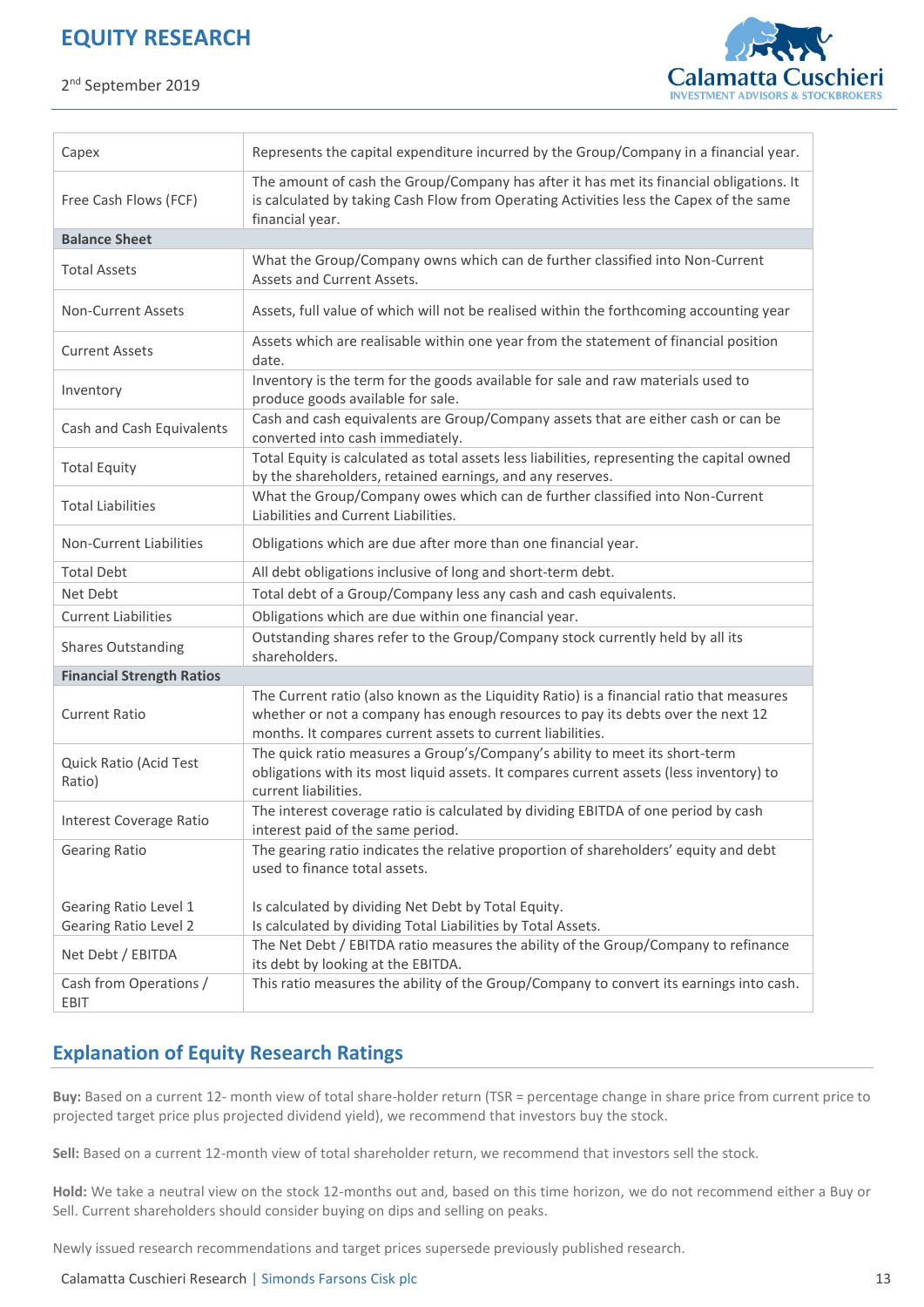2<sup>nd</sup> September 2019



| Capex                                                 | Represents the capital expenditure incurred by the Group/Company in a financial year.                                                                                                                                                     |
|-------------------------------------------------------|-------------------------------------------------------------------------------------------------------------------------------------------------------------------------------------------------------------------------------------------|
| Free Cash Flows (FCF)                                 | The amount of cash the Group/Company has after it has met its financial obligations. It<br>is calculated by taking Cash Flow from Operating Activities less the Capex of the same<br>financial year.                                      |
| <b>Balance Sheet</b>                                  |                                                                                                                                                                                                                                           |
| <b>Total Assets</b>                                   | What the Group/Company owns which can de further classified into Non-Current<br>Assets and Current Assets.                                                                                                                                |
| <b>Non-Current Assets</b>                             | Assets, full value of which will not be realised within the forthcoming accounting year                                                                                                                                                   |
| <b>Current Assets</b>                                 | Assets which are realisable within one year from the statement of financial position<br>date.                                                                                                                                             |
| Inventory                                             | Inventory is the term for the goods available for sale and raw materials used to<br>produce goods available for sale.                                                                                                                     |
| Cash and Cash Equivalents                             | Cash and cash equivalents are Group/Company assets that are either cash or can be<br>converted into cash immediately.                                                                                                                     |
| <b>Total Equity</b>                                   | Total Equity is calculated as total assets less liabilities, representing the capital owned<br>by the shareholders, retained earnings, and any reserves.                                                                                  |
| <b>Total Liabilities</b>                              | What the Group/Company owes which can de further classified into Non-Current<br>Liabilities and Current Liabilities.                                                                                                                      |
| Non-Current Liabilities                               | Obligations which are due after more than one financial year.                                                                                                                                                                             |
| <b>Total Debt</b>                                     | All debt obligations inclusive of long and short-term debt.                                                                                                                                                                               |
| Net Debt                                              | Total debt of a Group/Company less any cash and cash equivalents.                                                                                                                                                                         |
| <b>Current Liabilities</b>                            | Obligations which are due within one financial year.                                                                                                                                                                                      |
| <b>Shares Outstanding</b>                             | Outstanding shares refer to the Group/Company stock currently held by all its<br>shareholders.                                                                                                                                            |
| <b>Financial Strength Ratios</b>                      |                                                                                                                                                                                                                                           |
| <b>Current Ratio</b>                                  | The Current ratio (also known as the Liquidity Ratio) is a financial ratio that measures<br>whether or not a company has enough resources to pay its debts over the next 12<br>months. It compares current assets to current liabilities. |
| Quick Ratio (Acid Test<br>Ratio)                      | The quick ratio measures a Group's/Company's ability to meet its short-term<br>obligations with its most liquid assets. It compares current assets (less inventory) to<br>current liabilities.                                            |
| <b>Interest Coverage Ratio</b>                        | The interest coverage ratio is calculated by dividing EBITDA of one period by cash<br>interest paid of the same period.                                                                                                                   |
| <b>Gearing Ratio</b>                                  | The gearing ratio indicates the relative proportion of shareholders' equity and debt<br>used to finance total assets.                                                                                                                     |
| Gearing Ratio Level 1<br><b>Gearing Ratio Level 2</b> | Is calculated by dividing Net Debt by Total Equity.<br>Is calculated by dividing Total Liabilities by Total Assets.                                                                                                                       |
| Net Debt / EBITDA                                     | The Net Debt / EBITDA ratio measures the ability of the Group/Company to refinance<br>its debt by looking at the EBITDA.                                                                                                                  |
| Cash from Operations /<br>EBIT                        | This ratio measures the ability of the Group/Company to convert its earnings into cash.                                                                                                                                                   |

## **Explanation of Equity Research Ratings**

**Buy:** Based on a current 12- month view of total share-holder return (TSR = percentage change in share price from current price to projected target price plus projected dividend yield), we recommend that investors buy the stock.

**Sell:** Based on a current 12-month view of total shareholder return, we recommend that investors sell the stock.

**Hold:** We take a neutral view on the stock 12-months out and, based on this time horizon, we do not recommend either a Buy or Sell. Current shareholders should consider buying on dips and selling on peaks.

Newly issued research recommendations and target prices supersede previously published research.

Calamatta Cuschieri Research | Simonds Farsons Cisk plc 13